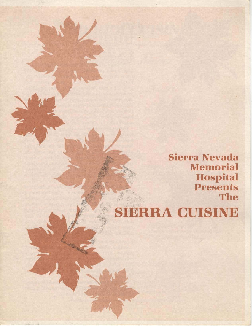Sierra Nevada Memorial Hospital Presents The

## **SIERRA CUISINE**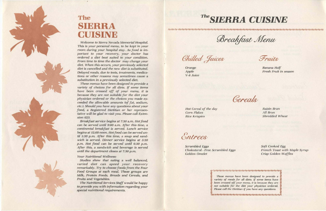•

## The **SIERRA CUISINE**

*Welcome to* Sierra *Nevada Memorial Hospital. This is your personal menu, to be kept in your room during your hospital stay. As food is imporlant to your recovery, your doctor has ordered a diet best suited to your condition.*  From h'me 10 *time the doctor* may *change* your *diet. When this occurs, your previously selected*  diet is cancelled and the new diet is substituted. *Delayed meals, due to tests, treatments, medications* or *other reasons may sometimes cause* a *substitution* in *a previously* selected *diet.* 

*These menus have been designed* to *provide a variety of choices for all diets.* If some *items have* been *crossed off of your menu, it is because they* are *not suitable for the diet your physician ordered* or *the choices you made* ex*ceeded the allowable amounts (of fat, sodium, etc.). Should you have any questions about your food,* a *Registered Dietitian* or *her represen· tative will be glad to visit you. Please call Extensian 62.3.* 

*Hot Cereal oj the day Corn Flakes*  **Rice Krispies** Shredded Wheat

Entrees

*French Toast with Maple Syrup Crisp Golden Waffles* 

*Breakfast service begins at 7:30 a.m. Hotfood can be served until 9:00* a.m. *After this time,* a *continental breakfast* is *served. Lunch service begins at 12:00 noon. Hotfood* can *be served until 1:30 p.m. After this time,* a *soup and sandwich is served. Dinner service begins at 5:30 p.m. Hot food* can *be served until 6:30 p.m. After this, a sandwich and beverage is served until the department closes at 7:30 p.m.* 

*Your Nutritional Wellness:* 

*Studies show that eating* a *well balanced, varied diet can speed your recovery remarkably. Try to choose foods from the Four Food Groups at each meal. These groups* are *Milk, Protein Foods, Breads and Cereals, and Fruits and Vesetables.* 

*The Nutritional Services Staff would be happy to provide you with information regarding your special nutritional requirements.* 

Chilled Juices



Breakfast Menu

Fruits

*Orange Apple V-8 Juice* 

*Banana Half Fresh Fruit* in *season* 

Gereals

*Raisin Bran All Bran* 

*Scrambled* Eggs *Soft Cooked Esg Cholesterol· Free Scrambled Eggs Golden* Omelet

<u> anno personal de conceptual de la propincia de la propincia de la propincia de la propincia de la propincia de la propincia de la propincia de la propincia de la propincia de la propincia de la propincia de la propincia </u>

*These menus have been designed to provide* a *variety of meals for all diets.* if *some items have been crossed off your menu, it* is *because they* are *not suitable for the diet your physician ordered. please call the Dietitian* if you *have any questions.* 

أورورور ومرور ومرور ومحدد والمراد المراد المتوافقة المرادين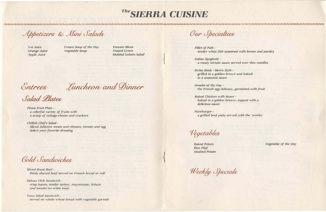V-& Juice Orange Juice *Apple Juice* 

1212121212121212121212121

Cream *Soup of the Day Vegetable Soup* 

Fiesta Fruit Plate a *colorful variety* of *fruits with*  a *scoop of cottage cheese and crackers* 

*Chilled Chef'S Salad - Sliced Julienne meats and cheeses, tomato* and egg *Select your favorite dressing* 

**Cold Sandwiches** 

Tuna Salad Sandwich *served* 011 *whole wheat bread with vegetable garnish* 

Our Specialties

*Sliced Roast Beef thinly shaved beef served* on *French bread* or *roll* 

*Deluxe Club Sandwich crisp bacon, lender turkey, mayonnaise, lettuce and tomato on white toast* 

# *TheSIERRA CUISINE*

 $\left| \right|$ 

Appetizers & Mini Salads

*Tomato Slices Tossed* Green *Molded Gelatin Salad* 

Entrees Luncheon and Dinner

Salad Llates

*Fillet of Fish*  tender *while fish seasoned with lemon and parsley* 

*Italian Spaghetti a meaty tomato* sauce *served over thin noodles* 

*Swiss Steak· Sierra Style grilled to* a *golden brown and baked in a seasoned* sauce

*Omelet of the Day the French* egg *delicacy, garnished with fruit* 

*Baked Chicken with Sauce baked to* a *golden brown ... topped with* a *delicious sauce* 

Hamburgera *grilled beef patty served with the "works"* 

Vegetables

*Baked Potato Rice Pilaf Mashed Potato* 

Weekly Specials

*Vegetable of the Day*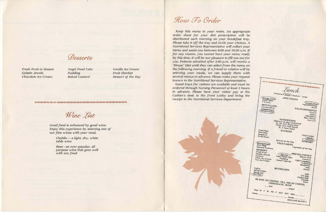Desserts

*Fresh Fruit in Season Gelatin Jewels Chocolate Ice Cream* 

*Angel Food* Cake *Pudding Baked Custard* 

Good food is enhanced by good wine. *Enjoy this* experience *by selecting* one *of our fine wines with your meal.* 

> *Chablis* - a *light, dry, white table wine*

> *Rose* - an *ever popular, all purpose* wine *that goes well with any food*

### How To Order

*Vanilla lee Cream Fruit Sherbet Dessert of the Day* 

**SISISIOS RRAMARALLANARARANARARA** 

Wine List

*Keep this* menu in *your room. An appropriate order sheet for your diet prescription will be distributed* each *morning* on *your brealifast tray. Please take it off the tray and circle your choices. A Nutritional Services Representative will collect your menu* and *assist you between 9:00 and 10:30 a.m.* If *for any reason, you cannot have your menu ready by this time, it will be our pleasure to fill one out for you. Patients admitted after 2:00 p.m. will receive a "House" Diet until they can select from the menu on the following morning.* If a *friend* or *relative will be selecting your meals, we* can *supply them with*  several menus *in advance. Please make your request known to the Nutritional Services Representative.* 

*Guest* trays *for visitors* are *available and must* be ordered *through Nursing Personnel at least* 2 *hours in advance. Please have your visitor pay at the Cashier's desk in the front Lobby and bring the receipt to the Nutritional Services Department.* 

monarcaramana *<u>Small</u>* Medium m Large Orange Juice APPETIZERS Vegetable Soup MINI SALADS **SALAD DRESSINGS Broth Tossed Green**<br>Molded Salad French<br>
French<br> *Italian*<br> *Blue Cheese*  $Low\text{-}Cal$ *fored on Days Indicated)*<br> *M, TH, SAT Roast Beef*<br> *TUES, SUN Club House*<br> *W. F. F.* **ES, SUN Club House**<br>**W**, F Tuna Salad **Fruit Plate**<br>**Fish Fillet** *ENTREES* Spaghetti Chef's Salad Swiss Steak **Omelet** Special of the Day **Raked Potato**<br>Rice Pilaf<br>Mashed Potatoes VEGETABLES Vegetable of the Day DESSERT *DESSERT*<br>*Fresh Fruit*<br>*Gelatin Jewels*<br>*Custard* **MISCELLANEOUS** Sherbel Custard Angel Food Cake Dinner Roll Choc. Ice Cream Pudding<sup>C</sup> Crackers Van. Ice Cream Coffee Creamer **Dessert Special** Margarine Coffee<br>Decaf Coffee<br>Decaf Tea<br>Hot Tea Jelly **BEVERAGES** Honey Mill 2% Milk Nonfat Milk BLAND: NO COFFEE, TEA, DECAF COFFEE, Chablis CHOCOLATE, WINE Rose Day: M T W TH F SAT SUN Date **Sugar** Room REGULAR-BLAND 4